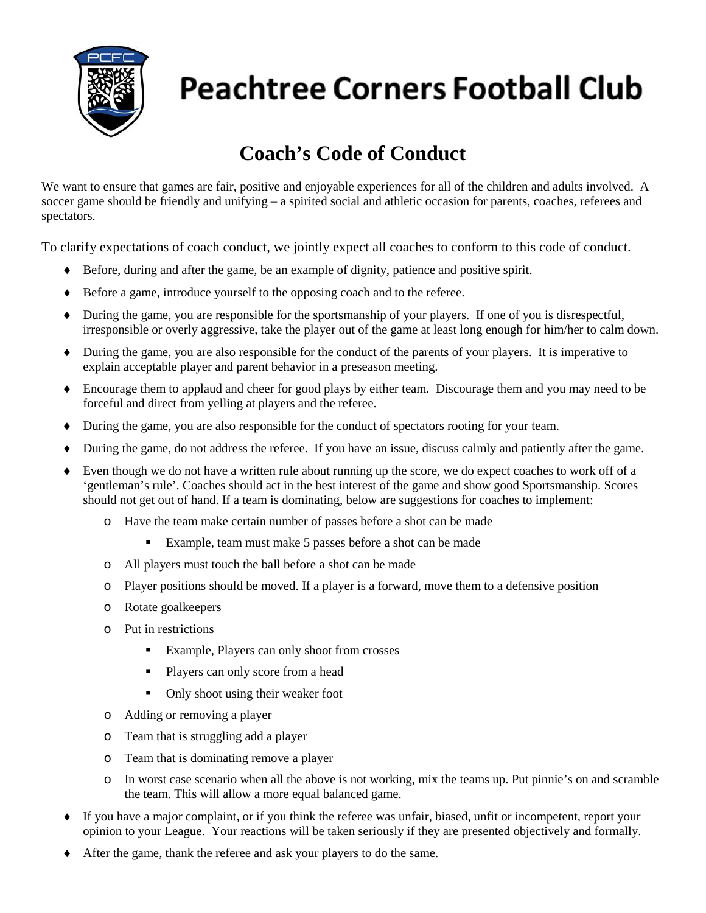

# **Peachtree Corners Football Club**

### **Coach's Code of Conduct**

We want to ensure that games are fair, positive and enjoyable experiences for all of the children and adults involved. A soccer game should be friendly and unifying – a spirited social and athletic occasion for parents, coaches, referees and spectators.

To clarify expectations of coach conduct, we jointly expect all coaches to conform to this code of conduct.

- ♦ Before, during and after the game, be an example of dignity, patience and positive spirit.
- ♦ Before a game, introduce yourself to the opposing coach and to the referee.
- ♦ During the game, you are responsible for the sportsmanship of your players. If one of you is disrespectful, irresponsible or overly aggressive, take the player out of the game at least long enough for him/her to calm down.
- ♦ During the game, you are also responsible for the conduct of the parents of your players. It is imperative to explain acceptable player and parent behavior in a preseason meeting.
- ♦ Encourage them to applaud and cheer for good plays by either team. Discourage them and you may need to be forceful and direct from yelling at players and the referee.
- ♦ During the game, you are also responsible for the conduct of spectators rooting for your team.
- ♦ During the game, do not address the referee. If you have an issue, discuss calmly and patiently after the game.
- ♦ Even though we do not have a written rule about running up the score, we do expect coaches to work off of a 'gentleman's rule'. Coaches should act in the best interest of the game and show good Sportsmanship. Scores should not get out of hand. If a team is dominating, below are suggestions for coaches to implement:
	- o Have the team make certain number of passes before a shot can be made
		- Example, team must make 5 passes before a shot can be made
	- o All players must touch the ball before a shot can be made
	- o Player positions should be moved. If a player is a forward, move them to a defensive position
	- o Rotate goalkeepers
	- o Put in restrictions
		- Example, Players can only shoot from crosses
		- Players can only score from a head
		- Only shoot using their weaker foot
	- o Adding or removing a player
	- o Team that is struggling add a player
	- o Team that is dominating remove a player
	- o In worst case scenario when all the above is not working, mix the teams up. Put pinnie's on and scramble the team. This will allow a more equal balanced game.
- ♦ If you have a major complaint, or if you think the referee was unfair, biased, unfit or incompetent, report your opinion to your League. Your reactions will be taken seriously if they are presented objectively and formally.
- After the game, thank the referee and ask your players to do the same.